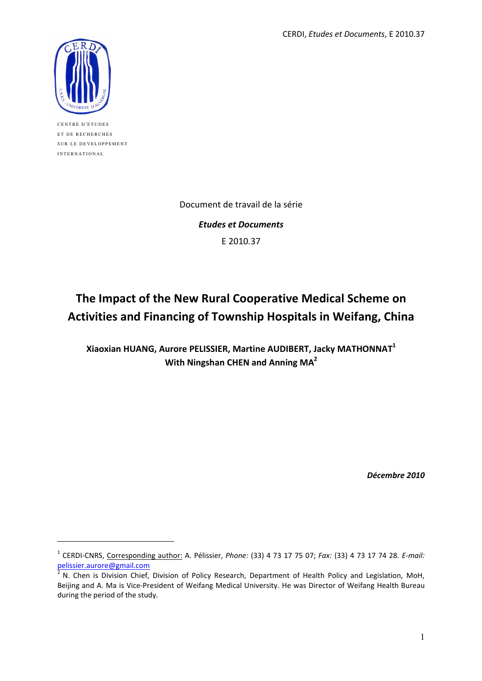CERDI, Etudes et Documents, E 2010.37



CENTRE D'ETUDES ET DE RECHERCHES SUR LE DEVELOPPEMENT INTERNATIONAL

 $\overline{a}$ 

Document de travail de la série

Etudes et Documents E 2010.37

# The Impact of the New Rural Cooperative Medical Scheme on Activities and Financing of Township Hospitals in Weifang, China

Xiaoxian HUANG, Aurore PELISSIER, Martine AUDIBERT, Jacky MATHONNAT<sup>1</sup> With Ningshan CHEN and Anning MA<sup>2</sup>

Décembre 2010

<sup>&</sup>lt;sup>1</sup> CERDI-CNRS, Corresponding author: A. Pélissier, *Phone:* (33) 4 73 17 75 07; Fax: (33) 4 73 17 74 28. E-mail: pelissier.aurore@gmail.com

 $2\overline{N}$ . Chen is Division Chief, Division of Policy Research, Department of Health Policy and Legislation, MoH, Beijing and A. Ma is Vice-President of Weifang Medical University. He was Director of Weifang Health Bureau during the period of the study.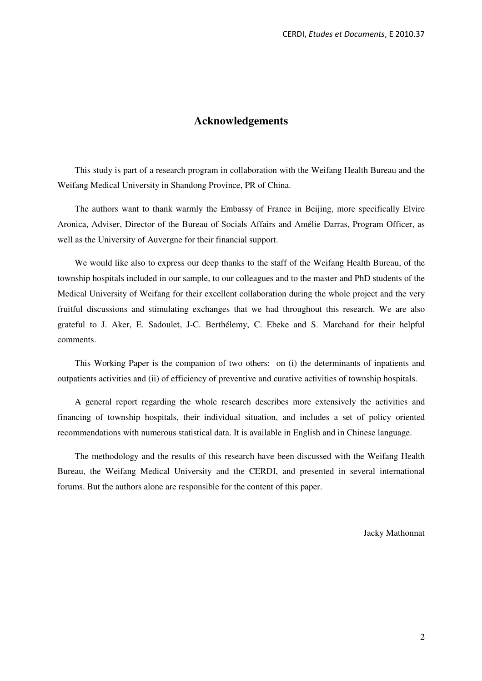# **Acknowledgements**

This study is part of a research program in collaboration with the Weifang Health Bureau and the Weifang Medical University in Shandong Province, PR of China.

The authors want to thank warmly the Embassy of France in Beijing, more specifically Elvire Aronica, Adviser, Director of the Bureau of Socials Affairs and Amélie Darras, Program Officer, as well as the University of Auvergne for their financial support.

We would like also to express our deep thanks to the staff of the Weifang Health Bureau, of the township hospitals included in our sample, to our colleagues and to the master and PhD students of the Medical University of Weifang for their excellent collaboration during the whole project and the very fruitful discussions and stimulating exchanges that we had throughout this research. We are also grateful to J. Aker, E. Sadoulet, J-C. Berthélemy, C. Ebeke and S. Marchand for their helpful comments.

This Working Paper is the companion of two others: on (i) the determinants of inpatients and outpatients activities and (ii) of efficiency of preventive and curative activities of township hospitals.

A general report regarding the whole research describes more extensively the activities and financing of township hospitals, their individual situation, and includes a set of policy oriented recommendations with numerous statistical data. It is available in English and in Chinese language.

The methodology and the results of this research have been discussed with the Weifang Health Bureau, the Weifang Medical University and the CERDI, and presented in several international forums. But the authors alone are responsible for the content of this paper.

Jacky Mathonnat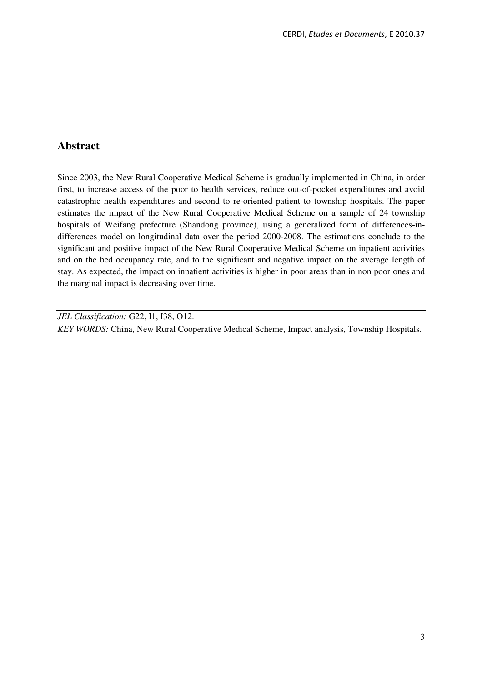# **Abstract**

Since 2003, the New Rural Cooperative Medical Scheme is gradually implemented in China, in order first, to increase access of the poor to health services, reduce out-of-pocket expenditures and avoid catastrophic health expenditures and second to re-oriented patient to township hospitals. The paper estimates the impact of the New Rural Cooperative Medical Scheme on a sample of 24 township hospitals of Weifang prefecture (Shandong province), using a generalized form of differences-indifferences model on longitudinal data over the period 2000-2008. The estimations conclude to the significant and positive impact of the New Rural Cooperative Medical Scheme on inpatient activities and on the bed occupancy rate, and to the significant and negative impact on the average length of stay. As expected, the impact on inpatient activities is higher in poor areas than in non poor ones and the marginal impact is decreasing over time.

*JEL Classification:* G22, I1, I38, O12. *KEY WORDS:* China, New Rural Cooperative Medical Scheme, Impact analysis, Township Hospitals.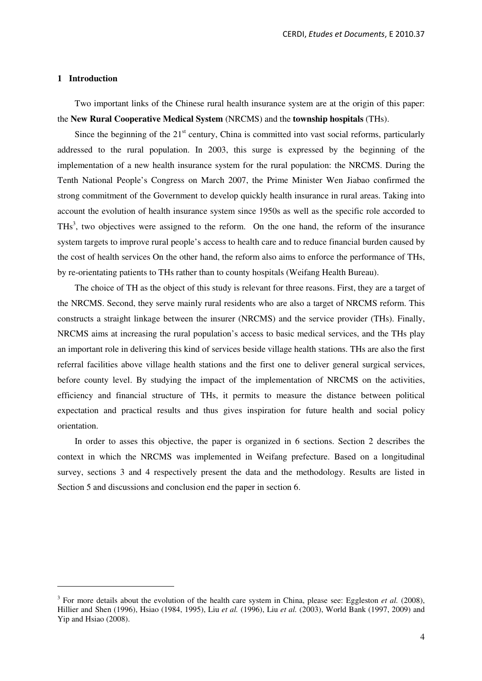#### **1 Introduction**

 $\overline{a}$ 

Two important links of the Chinese rural health insurance system are at the origin of this paper: the **New Rural Cooperative Medical System** (NRCMS) and the **township hospitals** (THs).

Since the beginning of the  $21<sup>st</sup>$  century, China is committed into vast social reforms, particularly addressed to the rural population. In 2003, this surge is expressed by the beginning of the implementation of a new health insurance system for the rural population: the NRCMS. During the Tenth National People's Congress on March 2007, the Prime Minister Wen Jiabao confirmed the strong commitment of the Government to develop quickly health insurance in rural areas. Taking into account the evolution of health insurance system since 1950s as well as the specific role accorded to THs<sup>3</sup>, two objectives were assigned to the reform. On the one hand, the reform of the insurance system targets to improve rural people's access to health care and to reduce financial burden caused by the cost of health services On the other hand, the reform also aims to enforce the performance of THs, by re-orientating patients to THs rather than to county hospitals (Weifang Health Bureau).

The choice of TH as the object of this study is relevant for three reasons. First, they are a target of the NRCMS. Second, they serve mainly rural residents who are also a target of NRCMS reform. This constructs a straight linkage between the insurer (NRCMS) and the service provider (THs). Finally, NRCMS aims at increasing the rural population's access to basic medical services, and the THs play an important role in delivering this kind of services beside village health stations. THs are also the first referral facilities above village health stations and the first one to deliver general surgical services, before county level. By studying the impact of the implementation of NRCMS on the activities, efficiency and financial structure of THs, it permits to measure the distance between political expectation and practical results and thus gives inspiration for future health and social policy orientation.

In order to asses this objective, the paper is organized in 6 sections. Section 2 describes the context in which the NRCMS was implemented in Weifang prefecture. Based on a longitudinal survey, sections 3 and 4 respectively present the data and the methodology. Results are listed in Section 5 and discussions and conclusion end the paper in section 6.

 $3$  For more details about the evolution of the health care system in China, please see: Eggleston *et al.* (2008), Hillier and Shen (1996), Hsiao (1984, 1995), Liu *et al.* (1996), Liu *et al.* (2003), World Bank (1997, 2009) and Yip and Hsiao (2008).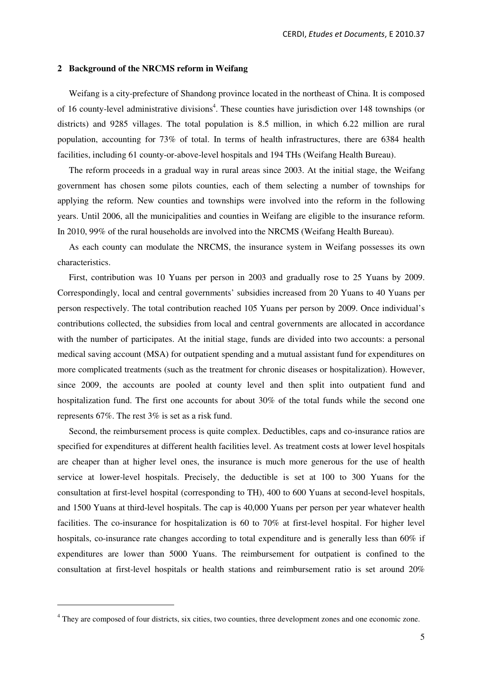#### **2 Background of the NRCMS reform in Weifang**

Weifang is a city-prefecture of Shandong province located in the northeast of China. It is composed of 16 county-level administrative divisions<sup>4</sup>. These counties have jurisdiction over 148 townships (or districts) and 9285 villages. The total population is 8.5 million, in which 6.22 million are rural population, accounting for 73% of total. In terms of health infrastructures, there are 6384 health facilities, including 61 county-or-above-level hospitals and 194 THs (Weifang Health Bureau).

The reform proceeds in a gradual way in rural areas since 2003. At the initial stage, the Weifang government has chosen some pilots counties, each of them selecting a number of townships for applying the reform. New counties and townships were involved into the reform in the following years. Until 2006, all the municipalities and counties in Weifang are eligible to the insurance reform. In 2010, 99% of the rural households are involved into the NRCMS (Weifang Health Bureau).

As each county can modulate the NRCMS, the insurance system in Weifang possesses its own characteristics.

First, contribution was 10 Yuans per person in 2003 and gradually rose to 25 Yuans by 2009. Correspondingly, local and central governments' subsidies increased from 20 Yuans to 40 Yuans per person respectively. The total contribution reached 105 Yuans per person by 2009. Once individual's contributions collected, the subsidies from local and central governments are allocated in accordance with the number of participates. At the initial stage, funds are divided into two accounts: a personal medical saving account (MSA) for outpatient spending and a mutual assistant fund for expenditures on more complicated treatments (such as the treatment for chronic diseases or hospitalization). However, since 2009, the accounts are pooled at county level and then split into outpatient fund and hospitalization fund. The first one accounts for about 30% of the total funds while the second one represents 67%. The rest 3% is set as a risk fund.

Second, the reimbursement process is quite complex. Deductibles, caps and co-insurance ratios are specified for expenditures at different health facilities level. As treatment costs at lower level hospitals are cheaper than at higher level ones, the insurance is much more generous for the use of health service at lower-level hospitals. Precisely, the deductible is set at 100 to 300 Yuans for the consultation at first-level hospital (corresponding to TH), 400 to 600 Yuans at second-level hospitals, and 1500 Yuans at third-level hospitals. The cap is 40,000 Yuans per person per year whatever health facilities. The co-insurance for hospitalization is 60 to 70% at first-level hospital. For higher level hospitals, co-insurance rate changes according to total expenditure and is generally less than 60% if expenditures are lower than 5000 Yuans. The reimbursement for outpatient is confined to the consultation at first-level hospitals or health stations and reimbursement ratio is set around 20%

 $\overline{a}$ 

<sup>&</sup>lt;sup>4</sup> They are composed of four districts, six cities, two counties, three development zones and one economic zone.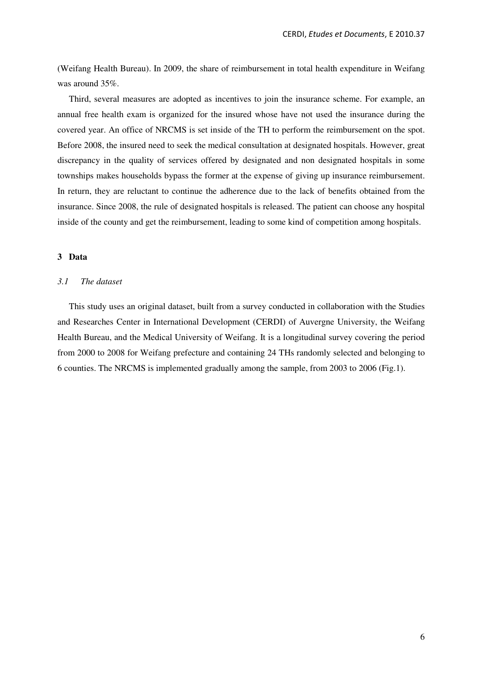(Weifang Health Bureau). In 2009, the share of reimbursement in total health expenditure in Weifang was around 35%.

Third, several measures are adopted as incentives to join the insurance scheme. For example, an annual free health exam is organized for the insured whose have not used the insurance during the covered year. An office of NRCMS is set inside of the TH to perform the reimbursement on the spot. Before 2008, the insured need to seek the medical consultation at designated hospitals. However, great discrepancy in the quality of services offered by designated and non designated hospitals in some townships makes households bypass the former at the expense of giving up insurance reimbursement. In return, they are reluctant to continue the adherence due to the lack of benefits obtained from the insurance. Since 2008, the rule of designated hospitals is released. The patient can choose any hospital inside of the county and get the reimbursement, leading to some kind of competition among hospitals.

# **3 Data**

# *3.1 The dataset*

This study uses an original dataset, built from a survey conducted in collaboration with the Studies and Researches Center in International Development (CERDI) of Auvergne University, the Weifang Health Bureau, and the Medical University of Weifang. It is a longitudinal survey covering the period from 2000 to 2008 for Weifang prefecture and containing 24 THs randomly selected and belonging to 6 counties. The NRCMS is implemented gradually among the sample, from 2003 to 2006 (Fig.1).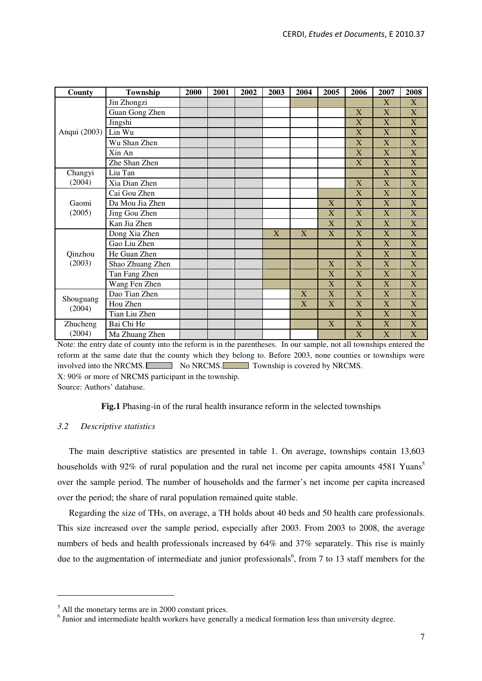| County              | Township         | 2000 | 2001 | 2002 | 2003 | 2004 | 2005         | 2006                      | 2007                      | 2008                      |
|---------------------|------------------|------|------|------|------|------|--------------|---------------------------|---------------------------|---------------------------|
|                     | Jin Zhongzi      |      |      |      |      |      |              |                           | X                         | X                         |
|                     | Guan Gong Zhen   |      |      |      |      |      |              | X                         | X                         | $\mathbf X$               |
|                     | Jingshi          |      |      |      |      |      |              | $\overline{\textbf{X}}$   | X                         | $\boldsymbol{\mathrm{X}}$ |
| Anqui (2003)        | Lin Wu           |      |      |      |      |      |              | X                         | X                         | $\mathbf X$               |
|                     | Wu Shan Zhen     |      |      |      |      |      |              | $\bf X$                   | X                         | $\mathbf X$               |
|                     | Xin An           |      |      |      |      |      |              | $\overline{X}$            | X                         | $\mathbf X$               |
|                     | Zhe Shan Zhen    |      |      |      |      |      |              | $\bf X$                   | X                         | $\mathbf X$               |
| Changyi             | Liu Tan          |      |      |      |      |      |              |                           | X                         | $\mathbf X$               |
| (2004)              | Xia Dian Zhen    |      |      |      |      |      |              | $\overline{X}$            | X                         | $\mathbf X$               |
| Gaomi               | Cai Gou Zhen     |      |      |      |      |      |              | X                         | X                         | $\mathbf X$               |
|                     | Da Mou Jia Zhen  |      |      |      |      |      | X            | $\boldsymbol{\mathrm{X}}$ | X                         | X                         |
| (2005)              | Jing Gou Zhen    |      |      |      |      |      | X            | X                         | X                         | X                         |
|                     | Kan Jia Zhen     |      |      |      |      |      | $\mathbf{X}$ | $\overline{X}$            | X                         | X                         |
|                     | Dong Xia Zhen    |      |      |      | X    | X    | X            | $\boldsymbol{\mathrm{X}}$ | X                         | $\mathbf X$               |
|                     | Gao Liu Zhen     |      |      |      |      |      |              | $\overline{X}$            | X                         | X                         |
| Qinzhou             | He Guan Zhen     |      |      |      |      |      |              | X                         | X                         | X                         |
| (2003)              | Shao Zhuang Zhen |      |      |      |      |      | X            | X                         | X                         | X                         |
|                     | Tan Fang Zhen    |      |      |      |      |      | X            | $\bf X$                   | $\boldsymbol{\mathrm{X}}$ | $\mathbf X$               |
|                     | Wang Fen Zhen    |      |      |      |      |      | X            | $\overline{X}$            | X                         | X                         |
|                     | Dao Tian Zhen    |      |      |      |      | X    | $\mathbf{X}$ | $\overline{X}$            | $\rm X$                   | X                         |
| Shouguang<br>(2004) | Hou Zhen         |      |      |      |      | X    | X            | $\overline{X}$            | $\boldsymbol{\mathrm{X}}$ | X                         |
|                     | Tian Liu Zhen    |      |      |      |      |      |              | $\overline{X}$            | $\rm X$                   | X                         |
| Zhucheng            | Bai Chi He       |      |      |      |      |      | X            | $\boldsymbol{\mathrm{X}}$ | X                         | X                         |
| (2004)              | Ma Zhuang Zhen   |      |      |      |      |      |              | X                         | X                         | X                         |

Note: the entry date of county into the reform is in the parentheses. In our sample, not all townships entered the reform at the same date that the county which they belong to. Before 2003, none counties or townships were involved into the NRCMS. No NRCMS. No NRCMS. Township is covered by NRCMS. X: 90% or more of NRCMS participant in the township.

Source: Authors' database.

**Fig.1** Phasing-in of the rural health insurance reform in the selected townships

# *3.2 Descriptive statistics*

 $\overline{a}$ 

The main descriptive statistics are presented in table 1. On average, townships contain 13,603 households with 92% of rural population and the rural net income per capita amounts 4581 Yuans<sup>5</sup> over the sample period. The number of households and the farmer's net income per capita increased over the period; the share of rural population remained quite stable.

Regarding the size of THs, on average, a TH holds about 40 beds and 50 health care professionals. This size increased over the sample period, especially after 2003. From 2003 to 2008, the average numbers of beds and health professionals increased by 64% and 37% separately. This rise is mainly due to the augmentation of intermediate and junior professionals<sup>6</sup>, from 7 to 13 staff members for the

<sup>&</sup>lt;sup>5</sup> All the monetary terms are in 2000 constant prices.

<sup>&</sup>lt;sup>6</sup> Junior and intermediate health workers have generally a medical formation less than university degree.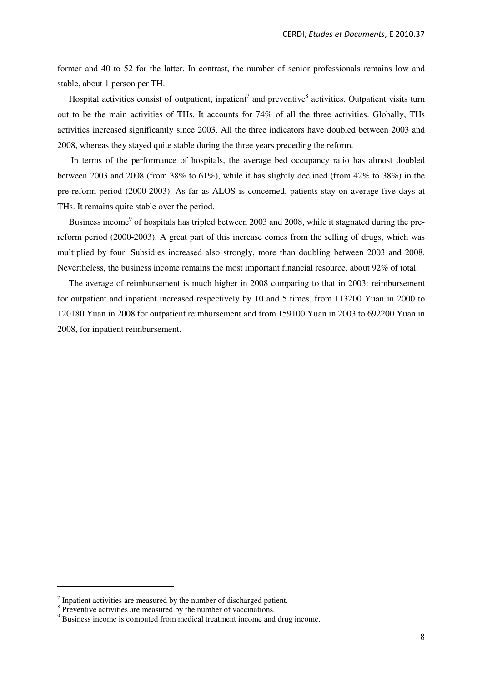former and 40 to 52 for the latter. In contrast, the number of senior professionals remains low and stable, about 1 person per TH.

Hospital activities consist of outpatient, inpatient<sup>7</sup> and preventive<sup>8</sup> activities. Outpatient visits turn out to be the main activities of THs. It accounts for 74% of all the three activities. Globally, THs activities increased significantly since 2003. All the three indicators have doubled between 2003 and 2008, whereas they stayed quite stable during the three years preceding the reform.

 In terms of the performance of hospitals, the average bed occupancy ratio has almost doubled between 2003 and 2008 (from  $38\%$  to  $61\%$ ), while it has slightly declined (from  $42\%$  to  $38\%$ ) in the pre-reform period (2000-2003). As far as ALOS is concerned, patients stay on average five days at THs. It remains quite stable over the period.

Business income<sup>9</sup> of hospitals has tripled between 2003 and 2008, while it stagnated during the prereform period (2000-2003). A great part of this increase comes from the selling of drugs, which was multiplied by four. Subsidies increased also strongly, more than doubling between 2003 and 2008. Nevertheless, the business income remains the most important financial resource, about 92% of total.

The average of reimbursement is much higher in 2008 comparing to that in 2003: reimbursement for outpatient and inpatient increased respectively by 10 and 5 times, from 113200 Yuan in 2000 to 120180 Yuan in 2008 for outpatient reimbursement and from 159100 Yuan in 2003 to 692200 Yuan in 2008, for inpatient reimbursement.

 $\overline{a}$ 

 $<sup>7</sup>$  Inpatient activities are measured by the number of discharged patient.</sup>

<sup>&</sup>lt;sup>8</sup> Preventive activities are measured by the number of vaccinations.

<sup>&</sup>lt;sup>9</sup> Business income is computed from medical treatment income and drug income.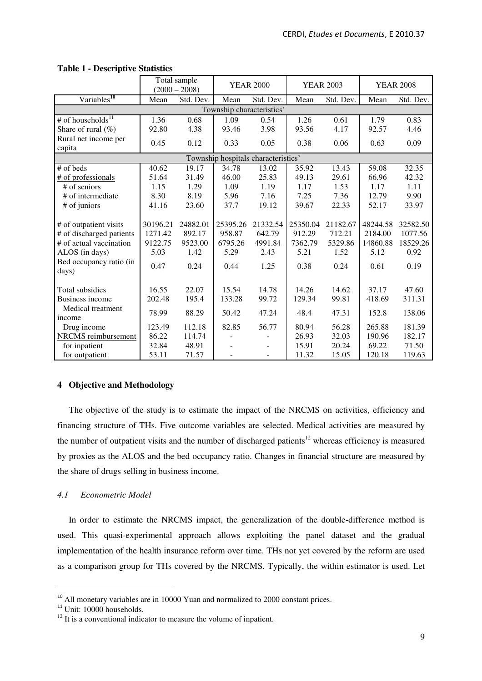|                                  | Total sample<br>$(2000 - 2008)$ |           | <b>YEAR 2000</b>          |                                     | <b>YEAR 2003</b> |           | <b>YEAR 2008</b> |           |
|----------------------------------|---------------------------------|-----------|---------------------------|-------------------------------------|------------------|-----------|------------------|-----------|
| Variables <sup>10</sup>          | Mean                            | Std. Dev. | Mean                      | Std. Dev.                           | Mean             | Std. Dev. | Mean             | Std. Dev. |
|                                  |                                 |           | Township characteristics' |                                     |                  |           |                  |           |
| # of households <sup>11</sup>    | 1.36                            | 0.68      | 1.09                      | 0.54                                | 1.26             | 0.61      | 1.79             | 0.83      |
| Share of rural $(\% )$           | 92.80                           | 4.38      | 93.46                     | 3.98                                | 93.56            | 4.17      | 92.57            | 4.46      |
| Rural net income per<br>capita   | 0.45                            | 0.12      | 0.33                      | 0.05                                | 0.38             | 0.06      | 0.63             | 0.09      |
|                                  |                                 |           |                           | Township hospitals characteristics' |                  |           |                  |           |
| $#$ of beds                      | 40.62                           | 19.17     | 34.78                     | 13.02                               | 35.92            | 13.43     | 59.08            | 32.35     |
| # of professionals               | 51.64                           | 31.49     | 46.00                     | 25.83                               | 49.13            | 29.61     | 66.96            | 42.32     |
| $#$ of seniors                   | 1.15                            | 1.29      | 1.09                      | 1.19                                | 1.17             | 1.53      | 1.17             | 1.11      |
| # of intermediate                | 8.30                            | 8.19      | 5.96                      | 7.16                                | 7.25             | 7.36      | 12.79            | 9.90      |
| # of juniors                     | 41.16                           | 23.60     | 37.7                      | 19.12                               | 39.67            | 22.33     | 52.17            | 33.97     |
|                                  |                                 |           |                           |                                     |                  |           |                  |           |
| # of outpatient visits           | 30196.21                        | 24882.01  | 25395.26                  | 21332.54                            | 25350.04         | 21182.67  | 48244.58         | 32582.50  |
| # of discharged patients         | 1271.42                         | 892.17    | 958.87                    | 642.79                              | 912.29           | 712.21    | 2184.00          | 1077.56   |
| # of actual vaccination          | 9122.75                         | 9523.00   | 6795.26                   | 4991.84                             | 7362.79          | 5329.86   | 14860.88         | 18529.26  |
| ALOS (in days)                   | 5.03                            | 1.42      | 5.29                      | 2.43                                | 5.21             | 1.52      | 5.12             | 0.92      |
| Bed occupancy ratio (in<br>days) | 0.47                            | 0.24      | 0.44                      | 1.25                                | 0.38             | 0.24      | 0.61             | 0.19      |
|                                  |                                 |           |                           |                                     |                  |           |                  |           |
| Total subsidies                  | 16.55                           | 22.07     | 15.54                     | 14.78                               | 14.26            | 14.62     | 37.17            | 47.60     |
| Business income                  | 202.48                          | 195.4     | 133.28                    | 99.72                               | 129.34           | 99.81     | 418.69           | 311.31    |
| Medical treatment                | 78.99                           | 88.29     | 50.42                     | 47.24                               | 48.4             | 47.31     | 152.8            | 138.06    |
| income                           |                                 |           |                           |                                     |                  |           |                  |           |
| Drug income                      | 123.49                          | 112.18    | 82.85                     | 56.77                               | 80.94            | 56.28     | 265.88           | 181.39    |
| NRCMS reimbursement              | 86.22                           | 114.74    |                           |                                     | 26.93            | 32.03     | 190.96           | 182.17    |
| for inpatient                    | 32.84                           | 48.91     |                           |                                     | 15.91            | 20.24     | 69.22            | 71.50     |
| for outpatient                   | 53.11                           | 71.57     |                           |                                     | 11.32            | 15.05     | 120.18           | 119.63    |

# **Table 1 - Descriptive Statistics**

# **4 Objective and Methodology**

The objective of the study is to estimate the impact of the NRCMS on activities, efficiency and financing structure of THs. Five outcome variables are selected. Medical activities are measured by the number of outpatient visits and the number of discharged patients<sup>12</sup> whereas efficiency is measured by proxies as the ALOS and the bed occupancy ratio. Changes in financial structure are measured by the share of drugs selling in business income.

# *4.1 Econometric Model*

In order to estimate the NRCMS impact, the generalization of the double-difference method is used. This quasi-experimental approach allows exploiting the panel dataset and the gradual implementation of the health insurance reform over time. THs not yet covered by the reform are used as a comparison group for THs covered by the NRCMS. Typically, the within estimator is used. Let

 $\overline{a}$ 

 $10$  All monetary variables are in 10000 Yuan and normalized to 2000 constant prices.

 $11$  Unit: 10000 households.

 $12$  It is a conventional indicator to measure the volume of inpatient.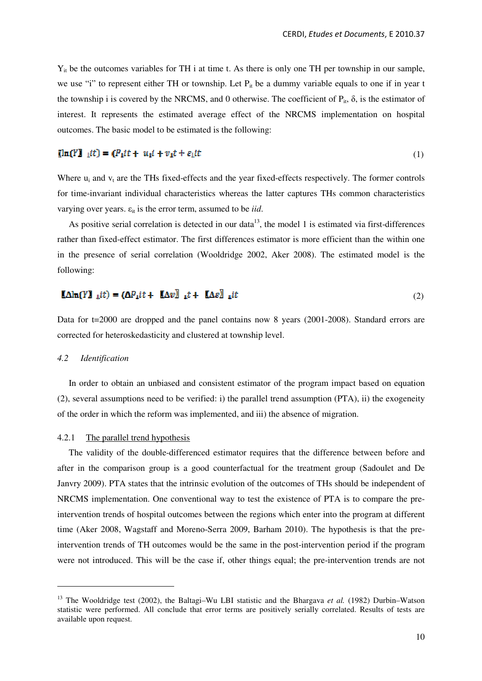Yit be the outcomes variables for TH i at time t. As there is only one TH per township in our sample, we use "i" to represent either TH or township. Let  $P_{it}$  be a dummy variable equals to one if in year t the township i is covered by the NRCMS, and 0 otherwise. The coefficient of  $P_i$ ,  $\delta$ , is the estimator of interest. It represents the estimated average effect of the NRCMS implementation on hospital outcomes. The basic model to be estimated is the following:

### $[\ln(Y)]_1$ *it*) =  $(P_1$ *it* +  $u_1$ *i* +  $v_1$ *t* +  $\varepsilon_1$ *it*

(1)

Where  $u_i$  and  $v_t$  are the THs fixed-effects and the year fixed-effects respectively. The former controls for time-invariant individual characteristics whereas the latter captures THs common characteristics varying over years.  $\varepsilon_{it}$  is the error term, assumed to be *iid*.

As positive serial correlation is detected in our data<sup>13</sup>, the model 1 is estimated via first-differences rather than fixed-effect estimator. The first differences estimator is more efficient than the within one in the presence of serial correlation (Wooldridge 2002, Aker 2008). The estimated model is the following:

#### $[\![\Delta]\!]_n(Y]\!]_{\perp}it) = [\![\Delta P_1it + [\![\Delta v]\!]_{\perp}t + [\![\Delta \varepsilon]\!]_{\perp}it$ (2)

Data for t=2000 are dropped and the panel contains now 8 years (2001-2008). Standard errors are corrected for heteroskedasticity and clustered at township level.

#### *4.2 Identification*

 $\overline{a}$ 

In order to obtain an unbiased and consistent estimator of the program impact based on equation (2), several assumptions need to be verified: i) the parallel trend assumption (PTA), ii) the exogeneity of the order in which the reform was implemented, and iii) the absence of migration.

# 4.2.1 The parallel trend hypothesis

The validity of the double-differenced estimator requires that the difference between before and after in the comparison group is a good counterfactual for the treatment group (Sadoulet and De Janvry 2009). PTA states that the intrinsic evolution of the outcomes of THs should be independent of NRCMS implementation. One conventional way to test the existence of PTA is to compare the preintervention trends of hospital outcomes between the regions which enter into the program at different time (Aker 2008, Wagstaff and Moreno-Serra 2009, Barham 2010). The hypothesis is that the preintervention trends of TH outcomes would be the same in the post-intervention period if the program were not introduced. This will be the case if, other things equal; the pre-intervention trends are not

<sup>&</sup>lt;sup>13</sup> The Wooldridge test (2002), the Baltagi–Wu LBI statistic and the Bhargava *et al.* (1982) Durbin–Watson statistic were performed. All conclude that error terms are positively serially correlated. Results of tests are available upon request.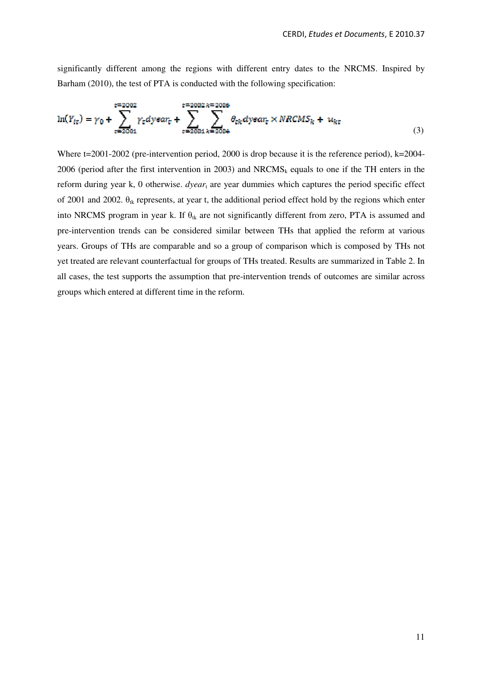significantly different among the regions with different entry dates to the NRCMS. Inspired by Barham (2010), the test of PTA is conducted with the following specification:

$$
\ln(Y_{it}) = \gamma_0 + \sum_{\epsilon=2001}^{t=2002} \gamma_{\epsilon} dy \epsilon \alpha r_{\epsilon} + \sum_{\epsilon=2001}^{t=2002k=2006} \sum_{k=2004}^{\infty} \theta_{ck} dy \epsilon \alpha r_{\epsilon} \times NRCMS_k + u_{kt}
$$
(3)

Where t=2001-2002 (pre-intervention period, 2000 is drop because it is the reference period), k=2004-2006 (period after the first intervention in 2003) and  $NRCMS_k$  equals to one if the TH enters in the reform during year k, 0 otherwise. *dyear*<sub>t</sub> are year dummies which captures the period specific effect of 2001 and 2002.  $\theta_{ik}$  represents, at year t, the additional period effect hold by the regions which enter into NRCMS program in year k. If  $\theta_{tk}$  are not significantly different from zero, PTA is assumed and pre-intervention trends can be considered similar between THs that applied the reform at various years. Groups of THs are comparable and so a group of comparison which is composed by THs not yet treated are relevant counterfactual for groups of THs treated. Results are summarized in Table 2. In all cases, the test supports the assumption that pre-intervention trends of outcomes are similar across groups which entered at different time in the reform.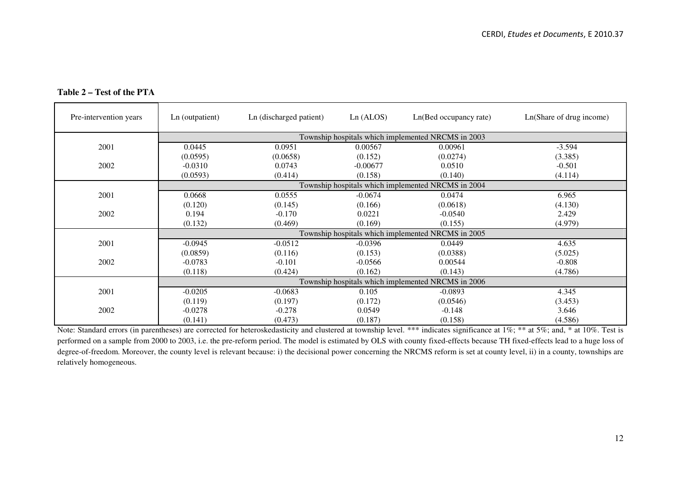| Pre-intervention years | Ln (outpatient)                                    | Ln (discharged patient)                            | Ln(ALOS)   | Ln(Bed occupancy rate)                             | Ln(Share of drug income) |  |  |  |  |  |
|------------------------|----------------------------------------------------|----------------------------------------------------|------------|----------------------------------------------------|--------------------------|--|--|--|--|--|
|                        |                                                    |                                                    |            | Township hospitals which implemented NRCMS in 2003 |                          |  |  |  |  |  |
| 2001                   | 0.0445                                             | 0.0951                                             | 0.00567    | 0.00961                                            | $-3.594$                 |  |  |  |  |  |
|                        | (0.0595)                                           | (0.0658)                                           | (0.152)    | (0.0274)                                           | (3.385)                  |  |  |  |  |  |
| 2002                   | $-0.0310$                                          | 0.0743                                             | $-0.00677$ | 0.0510                                             | $-0.501$                 |  |  |  |  |  |
|                        | (0.0593)                                           | (0.414)                                            | (0.158)    | (0.140)                                            | (4.114)                  |  |  |  |  |  |
|                        |                                                    | Township hospitals which implemented NRCMS in 2004 |            |                                                    |                          |  |  |  |  |  |
| 2001                   | 0.0668                                             | 0.0555                                             | $-0.0674$  | 0.0474                                             | 6.965                    |  |  |  |  |  |
|                        | (0.120)                                            | (0.145)                                            | (0.166)    | (0.0618)                                           | (4.130)                  |  |  |  |  |  |
| 2002                   | 0.194                                              | $-0.170$                                           | 0.0221     | $-0.0540$                                          | 2.429                    |  |  |  |  |  |
|                        | (0.132)                                            | (0.469)                                            | (0.169)    | (0.155)                                            | (4.979)                  |  |  |  |  |  |
|                        |                                                    |                                                    |            | Township hospitals which implemented NRCMS in 2005 |                          |  |  |  |  |  |
| 2001                   | $-0.0945$                                          | $-0.0512$                                          | $-0.0396$  | 0.0449                                             | 4.635                    |  |  |  |  |  |
|                        | (0.0859)                                           | (0.116)                                            | (0.153)    | (0.0388)                                           | (5.025)                  |  |  |  |  |  |
| 2002                   | $-0.0783$                                          | $-0.101$                                           | $-0.0566$  | 0.00544                                            | $-0.808$                 |  |  |  |  |  |
|                        | (0.118)                                            | (0.424)                                            | (0.162)    | (0.143)                                            | (4.786)                  |  |  |  |  |  |
|                        | Township hospitals which implemented NRCMS in 2006 |                                                    |            |                                                    |                          |  |  |  |  |  |
| 2001                   | $-0.0205$                                          | $-0.0683$                                          | 0.105      | $-0.0893$                                          | 4.345                    |  |  |  |  |  |
|                        | (0.119)                                            | (0.197)                                            | (0.172)    | (0.0546)                                           | (3.453)                  |  |  |  |  |  |
| 2002                   | $-0.0278$                                          | $-0.278$                                           | 0.0549     | $-0.148$                                           | 3.646                    |  |  |  |  |  |
|                        | (0.141)                                            | (0.473)                                            | (0.187)    | (0.158)                                            | (4.586)                  |  |  |  |  |  |

# **Table 2 – Test of the PTA**

 $(0.141)$   $(0.473)$   $(0.187)$   $(0.158)$   $(0.158)$   $(4.586)$ <br>Note: Standard errors (in parentheses) are corrected for heteroskedasticity and clustered at township level. \*\*\* indicates significance at 1%; \*\* at 5%; and, \* a performed on a sample from 2000 to 2003, i.e. the pre-reform period. The model is estimated by OLS with county fixed-effects because TH fixed-effects lead to a huge loss of degree-of-freedom. Moreover, the county level is relevant because: i) the decisional power concerning the NRCMS reform is set at county level, ii) in a county, townships are relatively homogeneous.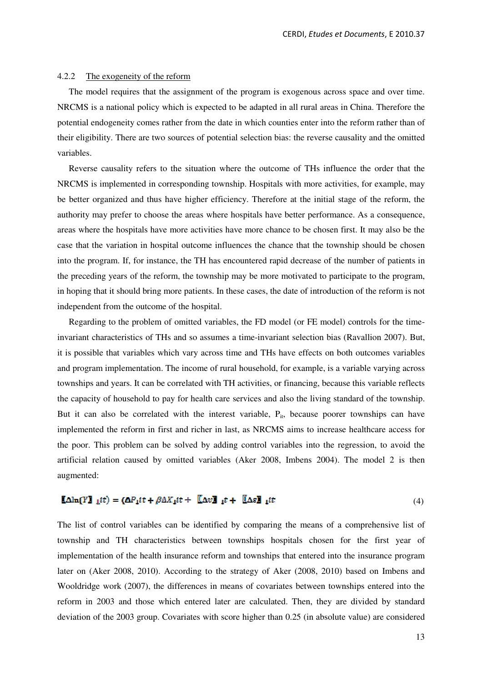### 4.2.2 The exogeneity of the reform

The model requires that the assignment of the program is exogenous across space and over time. NRCMS is a national policy which is expected to be adapted in all rural areas in China. Therefore the potential endogeneity comes rather from the date in which counties enter into the reform rather than of their eligibility. There are two sources of potential selection bias: the reverse causality and the omitted variables.

Reverse causality refers to the situation where the outcome of THs influence the order that the NRCMS is implemented in corresponding township. Hospitals with more activities, for example, may be better organized and thus have higher efficiency. Therefore at the initial stage of the reform, the authority may prefer to choose the areas where hospitals have better performance. As a consequence, areas where the hospitals have more activities have more chance to be chosen first. It may also be the case that the variation in hospital outcome influences the chance that the township should be chosen into the program. If, for instance, the TH has encountered rapid decrease of the number of patients in the preceding years of the reform, the township may be more motivated to participate to the program, in hoping that it should bring more patients. In these cases, the date of introduction of the reform is not independent from the outcome of the hospital.

Regarding to the problem of omitted variables, the FD model (or FE model) controls for the timeinvariant characteristics of THs and so assumes a time-invariant selection bias (Ravallion 2007). But, it is possible that variables which vary across time and THs have effects on both outcomes variables and program implementation. The income of rural household, for example, is a variable varying across townships and years. It can be correlated with TH activities, or financing, because this variable reflects the capacity of household to pay for health care services and also the living standard of the township. But it can also be correlated with the interest variable,  $P_{it}$ , because poorer townships can have implemented the reform in first and richer in last, as NRCMS aims to increase healthcare access for the poor. This problem can be solved by adding control variables into the regression, to avoid the artificial relation caused by omitted variables (Aker 2008, Imbens 2004). The model 2 is then augmented:

#### $\mathbf{A}\ln(Y\mathbf{I} \mathbf{I} \mathbf{I} t) = (\mathbf{A} P_1 t t + \beta \Delta X_1 t t + \mathbf{A} \mathbf{A} v \mathbf{I} \mathbf{I} t + \mathbf{A} \mathbf{A} \mathbf{I} \mathbf{I} t)$ (4)

The list of control variables can be identified by comparing the means of a comprehensive list of township and TH characteristics between townships hospitals chosen for the first year of implementation of the health insurance reform and townships that entered into the insurance program later on (Aker 2008, 2010). According to the strategy of Aker (2008, 2010) based on Imbens and Wooldridge work (2007), the differences in means of covariates between townships entered into the reform in 2003 and those which entered later are calculated. Then, they are divided by standard deviation of the 2003 group. Covariates with score higher than 0.25 (in absolute value) are considered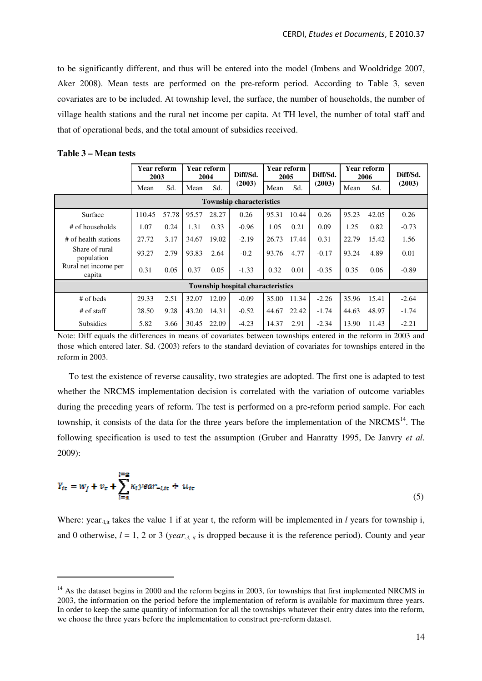to be significantly different, and thus will be entered into the model (Imbens and Wooldridge 2007, Aker 2008). Mean tests are performed on the pre-reform period. According to Table 3, seven covariates are to be included. At township level, the surface, the number of households, the number of village health stations and the rural net income per capita. At TH level, the number of total staff and that of operational beds, and the total amount of subsidies received.

| Table 3 – Mean tests |  |
|----------------------|--|
|----------------------|--|

 $\ddot{\phantom{a}}$ 

|                                          | Year reform<br>2003             |       |       | Year reform<br>2004 | Diff/Sd. | <b>Year reform</b><br>2005 |       | Diff/Sd. |       | <b>Year reform</b><br>2006 | Diff/Sd. |
|------------------------------------------|---------------------------------|-------|-------|---------------------|----------|----------------------------|-------|----------|-------|----------------------------|----------|
|                                          | Mean                            | Sd.   | Mean  | Sd.                 | (2003)   | Mean                       | Sd.   | (2003)   | Mean  | Sd.                        | (2003)   |
|                                          | <b>Township characteristics</b> |       |       |                     |          |                            |       |          |       |                            |          |
| Surface                                  | 110.45                          | 57.78 | 95.57 | 28.27               | 0.26     | 95.31                      | 10.44 | 0.26     | 95.23 | 42.05                      | 0.26     |
| # of households                          | 1.07                            | 0.24  | 1.31  | 0.33                | $-0.96$  | 1.05                       | 0.21  | 0.09     | 1.25  | 0.82                       | $-0.73$  |
| # of health stations                     | 27.72                           | 3.17  | 34.67 | 19.02               | $-2.19$  | 26.73                      | 17.44 | 0.31     | 22.79 | 15.42                      | 1.56     |
| Share of rural<br>population             | 93.27                           | 2.79  | 93.83 | 2.64                | $-0.2$   | 93.76                      | 4.77  | $-0.17$  | 93.24 | 4.89                       | 0.01     |
| Rural net income per<br>capita           | 0.31                            | 0.05  | 0.37  | 0.05                | $-1.33$  | 0.32                       | 0.01  | $-0.35$  | 0.35  | 0.06                       | $-0.89$  |
| <b>Township hospital characteristics</b> |                                 |       |       |                     |          |                            |       |          |       |                            |          |
| # of beds                                | 29.33                           | 2.51  | 32.07 | 12.09               | $-0.09$  | 35.00                      | 11.34 | $-2.26$  | 35.96 | 15.41                      | $-2.64$  |
| # of staff                               | 28.50                           | 9.28  | 43.20 | 14.31               | $-0.52$  | 44.67                      | 22.42 | $-1.74$  | 44.63 | 48.97                      | $-1.74$  |
| <b>Subsidies</b>                         | 5.82                            | 3.66  | 30.45 | 22.09               | $-4.23$  | 14.37                      | 2.91  | $-2.34$  | 13.90 | 11.43                      | $-2.21$  |

Note: Diff equals the differences in means of covariates between townships entered in the reform in 2003 and those which entered later. Sd. (2003) refers to the standard deviation of covariates for townships entered in the reform in 2003.

To test the existence of reverse causality, two strategies are adopted. The first one is adapted to test whether the NRCMS implementation decision is correlated with the variation of outcome variables during the preceding years of reform. The test is performed on a pre-reform period sample. For each township, it consists of the data for the three years before the implementation of the NRCMS<sup>14</sup>. The following specification is used to test the assumption (Gruber and Hanratty 1995, De Janvry *et al.* 2009):

$$
Y_{it} = w_j + v_t + \sum_{i=1}^{i=2} \kappa_i y ear_{-i, it} + u_{it}
$$
\n
$$
\tag{5}
$$

Where: year<sub>-l,it</sub> takes the value 1 if at year t, the reform will be implemented in *l* years for township i, and 0 otherwise,  $l = 1, 2$  or 3 (*year*<sub>-3, it</sub> is dropped because it is the reference period). County and year

<sup>&</sup>lt;sup>14</sup> As the dataset begins in 2000 and the reform begins in 2003, for townships that first implemented NRCMS in 2003, the information on the period before the implementation of reform is available for maximum three years. In order to keep the same quantity of information for all the townships whatever their entry dates into the reform, we choose the three years before the implementation to construct pre-reform dataset.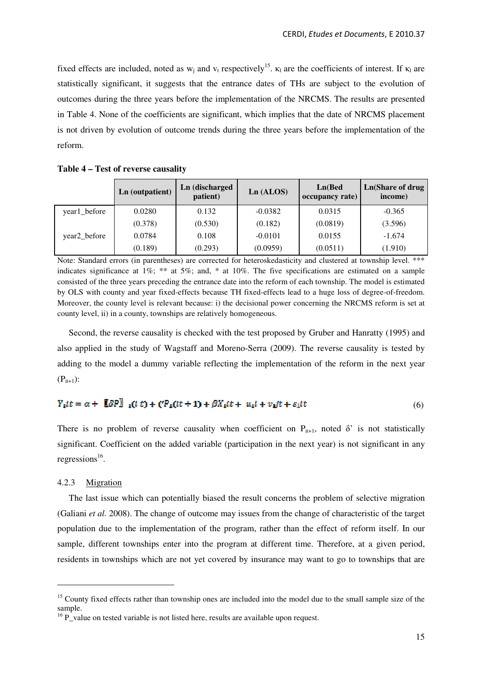fixed effects are included, noted as  $w_j$  and  $v_t$  respectively<sup>15</sup>.  $\kappa_1$  are the coefficients of interest. If  $\kappa_1$  are statistically significant, it suggests that the entrance dates of THs are subject to the evolution of outcomes during the three years before the implementation of the NRCMS. The results are presented in Table 4. None of the coefficients are significant, which implies that the date of NRCMS placement is not driven by evolution of outcome trends during the three years before the implementation of the reform.

|              | Ln (outpatient) | Ln (discharged<br>patient) | Ln(ALOS)  | Ln(Bed)<br>occupancy rate) | Ln(Share of drug<br>income) |
|--------------|-----------------|----------------------------|-----------|----------------------------|-----------------------------|
| year1_before | 0.0280          | 0.132                      | $-0.0382$ | 0.0315                     | $-0.365$                    |
|              | (0.378)         | (0.530)                    | (0.182)   | (0.0819)                   | (3.596)                     |
| year2_before | 0.0784          | 0.108                      | $-0.0101$ | 0.0155                     | $-1.674$                    |
|              | (0.189)         | (0.293)                    | (0.0959)  | (0.0511)                   | (1.910)                     |

Note: Standard errors (in parentheses) are corrected for heteroskedasticity and clustered at township level. \*\*\* indicates significance at  $1\%$ ; \*\* at  $5\%$ ; and, \* at  $10\%$ . The five specifications are estimated on a sample consisted of the three years preceding the entrance date into the reform of each township. The model is estimated by OLS with county and year fixed-effects because TH fixed-effects lead to a huge loss of degree-of-freedom. Moreover, the county level is relevant because: i) the decisional power concerning the NRCMS reform is set at county level, ii) in a county, townships are relatively homogeneous.

Second, the reverse causality is checked with the test proposed by Gruber and Hanratty (1995) and also applied in the study of Wagstaff and Moreno-Serra (2009). The reverse causality is tested by adding to the model a dummy variable reflecting the implementation of the reform in the next year  $(P_{i+1})$ :

#### $Y_1(t = \alpha + \sqrt{[\beta P]}_1(t t) + ({}^tP_1(t t + 1) + {}^tP_1(t t + u_1 t + v_1)t + \varepsilon_1(t$ (6)

There is no problem of reverse causality when coefficient on  $P_{i+1}$ , noted  $\delta'$  is not statistically significant. Coefficient on the added variable (participation in the next year) is not significant in any regressions<sup>16</sup>.

# 4.2.3 Migration

 $\ddot{\phantom{a}}$ 

The last issue which can potentially biased the result concerns the problem of selective migration (Galiani *et al.* 2008). The change of outcome may issues from the change of characteristic of the target population due to the implementation of the program, rather than the effect of reform itself. In our sample, different townships enter into the program at different time. Therefore, at a given period, residents in townships which are not yet covered by insurance may want to go to townships that are

<sup>&</sup>lt;sup>15</sup> County fixed effects rather than township ones are included into the model due to the small sample size of the sample.

 $16\text{ P}$  value on tested variable is not listed here, results are available upon request.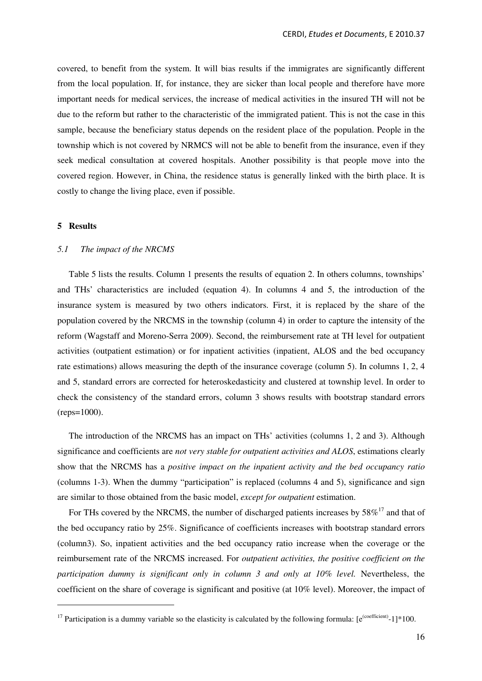covered, to benefit from the system. It will bias results if the immigrates are significantly different from the local population. If, for instance, they are sicker than local people and therefore have more important needs for medical services, the increase of medical activities in the insured TH will not be due to the reform but rather to the characteristic of the immigrated patient. This is not the case in this sample, because the beneficiary status depends on the resident place of the population. People in the township which is not covered by NRMCS will not be able to benefit from the insurance, even if they seek medical consultation at covered hospitals. Another possibility is that people move into the covered region. However, in China, the residence status is generally linked with the birth place. It is costly to change the living place, even if possible.

#### **5 Results**

 $\overline{a}$ 

#### *5.1 The impact of the NRCMS*

Table 5 lists the results. Column 1 presents the results of equation 2. In others columns, townships' and THs' characteristics are included (equation 4). In columns 4 and 5, the introduction of the insurance system is measured by two others indicators. First, it is replaced by the share of the population covered by the NRCMS in the township (column 4) in order to capture the intensity of the reform (Wagstaff and Moreno-Serra 2009). Second, the reimbursement rate at TH level for outpatient activities (outpatient estimation) or for inpatient activities (inpatient, ALOS and the bed occupancy rate estimations) allows measuring the depth of the insurance coverage (column 5). In columns 1, 2, 4 and 5, standard errors are corrected for heteroskedasticity and clustered at township level. In order to check the consistency of the standard errors, column 3 shows results with bootstrap standard errors (reps=1000).

The introduction of the NRCMS has an impact on THs' activities (columns 1, 2 and 3). Although significance and coefficients are *not very stable for outpatient activities and ALOS*, estimations clearly show that the NRCMS has a *positive impact on the inpatient activity and the bed occupancy ratio* (columns 1-3). When the dummy "participation" is replaced (columns 4 and 5), significance and sign are similar to those obtained from the basic model, *except for outpatient* estimation.

For THs covered by the NRCMS, the number of discharged patients increases by  $58\%^{17}$  and that of the bed occupancy ratio by 25%. Significance of coefficients increases with bootstrap standard errors (column3). So, inpatient activities and the bed occupancy ratio increase when the coverage or the reimbursement rate of the NRCMS increased. For *outpatient activities, the positive coefficient on the participation dummy is significant only in column 3 and only at 10% level.* Nevertheless, the coefficient on the share of coverage is significant and positive (at 10% level). Moreover, the impact of

<sup>&</sup>lt;sup>17</sup> Participation is a dummy variable so the elasticity is calculated by the following formula:  $[e^{(\text{coefficient})}-1]*100$ .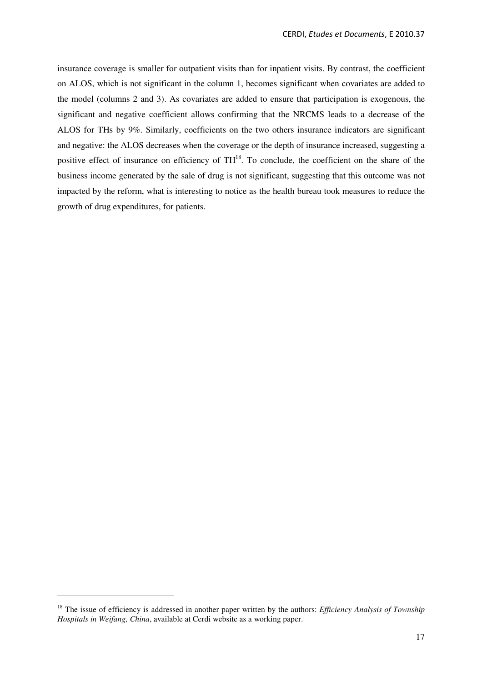insurance coverage is smaller for outpatient visits than for inpatient visits. By contrast, the coefficient on ALOS, which is not significant in the column 1, becomes significant when covariates are added to the model (columns 2 and 3). As covariates are added to ensure that participation is exogenous, the significant and negative coefficient allows confirming that the NRCMS leads to a decrease of the ALOS for THs by 9%. Similarly, coefficients on the two others insurance indicators are significant and negative: the ALOS decreases when the coverage or the depth of insurance increased, suggesting a positive effect of insurance on efficiency of  $TH^{18}$ . To conclude, the coefficient on the share of the business income generated by the sale of drug is not significant, suggesting that this outcome was not impacted by the reform, what is interesting to notice as the health bureau took measures to reduce the growth of drug expenditures, for patients.

 $\overline{a}$ 

<sup>&</sup>lt;sup>18</sup> The issue of efficiency is addressed in another paper written by the authors: *Efficiency Analysis of Township Hospitals in Weifang, China*, available at Cerdi website as a working paper.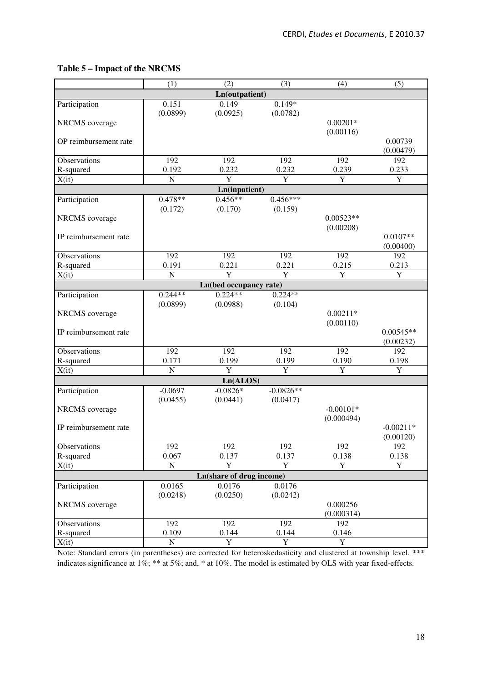# **Table 5 – Impact of the NRCMS**

| Ln(outpatient)<br>$0.149*$<br>0.151<br>0.149<br>Participation<br>(0.0899)<br>(0.0925)<br>(0.0782)<br><b>NRCMS</b> coverage<br>$0.00201*$<br>(0.00116)<br>OP reimbursement rate<br>0.00739<br>(0.00479)<br>192<br>192<br>192<br>192<br>192<br>Observations<br>0.232<br>R-squared<br>0.192<br>0.232<br>0.239<br>0.233<br>$\overline{\mathrm{Y}}$<br>$\overline{N}$<br>Y<br>Y<br>Y<br>X(it)<br>Ln(inpatient)<br>$0.478**$<br>$0.456**$<br>$0.456***$<br>Participation<br>(0.159)<br>(0.172)<br>(0.170)<br>NRCMS coverage<br>$0.00523**$<br>(0.00208)<br>$0.0107**$<br>IP reimbursement rate<br>(0.00400)<br>Observations<br>192<br>192<br>192<br>192<br>192<br>0.221<br>0.221<br>R-squared<br>0.191<br>0.215<br>0.213<br>$\overline{Y}$<br>$\overline{\text{Y}}$<br>${\bf N}$<br>Y<br>$\mathbf Y$<br>X(it)<br>Ln(bed occupancy rate)<br>$0.224**$<br>$0.224**$<br>$0.244**$<br>Participation<br>(0.0899)<br>(0.0988)<br>(0.104)<br>$0.00211*$<br>NRCMS coverage<br>(0.00110)<br>IP reimbursement rate<br>$0.00545**$<br>(0.00232)<br>192<br>Observations<br>192<br>192<br>192<br>192<br>0.171<br>0.199<br>0.190<br>R-squared<br>0.199<br>0.198<br>$\overline{\text{Y}}$<br>$\overline{\text{Y}}$<br>$\overline{Y}$<br>$\overline{N}$<br>Y<br>X(it)<br>Ln(ALOS)<br>$-0.0826**$<br>$-0.0697$<br>$-0.0826*$<br>Participation<br>(0.0455)<br>(0.0441)<br>(0.0417)<br>$-0.00101*$<br>NRCMS coverage<br>(0.000494)<br>IP reimbursement rate<br>$-0.00211*$<br>(0.00120)<br>192<br>192<br>192<br>192<br>192<br>Observations<br>R-squared<br>0.067<br>0.137<br>0.137<br>0.138<br>0.138<br>$\overline{Y}$<br>${\bf N}$<br>$\mathbf Y$<br>$\mathbf Y$<br>$\mathbf Y$<br>X(it)<br><b>Ln(share of drug income)</b><br>0.0165<br>0.0176<br>0.0176<br>Participation<br>(0.0250)<br>(0.0242)<br>(0.0248)<br>NRCMS coverage<br>0.000256<br>(0.000314)<br>192<br>192<br>192<br>192<br>Observations<br>R-squared<br>0.109<br>0.144<br>0.144<br>0.146<br>$\overline{Y}$<br>$\overline{Y}$<br>$\overline{Y}$<br>X(it)<br>${\bf N}$ |  | (1) | (2) | (3) | (4) | (5) |  |  |  |  |
|-------------------------------------------------------------------------------------------------------------------------------------------------------------------------------------------------------------------------------------------------------------------------------------------------------------------------------------------------------------------------------------------------------------------------------------------------------------------------------------------------------------------------------------------------------------------------------------------------------------------------------------------------------------------------------------------------------------------------------------------------------------------------------------------------------------------------------------------------------------------------------------------------------------------------------------------------------------------------------------------------------------------------------------------------------------------------------------------------------------------------------------------------------------------------------------------------------------------------------------------------------------------------------------------------------------------------------------------------------------------------------------------------------------------------------------------------------------------------------------------------------------------------------------------------------------------------------------------------------------------------------------------------------------------------------------------------------------------------------------------------------------------------------------------------------------------------------------------------------------------------------------------------------------------------------------------------------------------------------------------------------------|--|-----|-----|-----|-----|-----|--|--|--|--|
|                                                                                                                                                                                                                                                                                                                                                                                                                                                                                                                                                                                                                                                                                                                                                                                                                                                                                                                                                                                                                                                                                                                                                                                                                                                                                                                                                                                                                                                                                                                                                                                                                                                                                                                                                                                                                                                                                                                                                                                                             |  |     |     |     |     |     |  |  |  |  |
|                                                                                                                                                                                                                                                                                                                                                                                                                                                                                                                                                                                                                                                                                                                                                                                                                                                                                                                                                                                                                                                                                                                                                                                                                                                                                                                                                                                                                                                                                                                                                                                                                                                                                                                                                                                                                                                                                                                                                                                                             |  |     |     |     |     |     |  |  |  |  |
|                                                                                                                                                                                                                                                                                                                                                                                                                                                                                                                                                                                                                                                                                                                                                                                                                                                                                                                                                                                                                                                                                                                                                                                                                                                                                                                                                                                                                                                                                                                                                                                                                                                                                                                                                                                                                                                                                                                                                                                                             |  |     |     |     |     |     |  |  |  |  |
|                                                                                                                                                                                                                                                                                                                                                                                                                                                                                                                                                                                                                                                                                                                                                                                                                                                                                                                                                                                                                                                                                                                                                                                                                                                                                                                                                                                                                                                                                                                                                                                                                                                                                                                                                                                                                                                                                                                                                                                                             |  |     |     |     |     |     |  |  |  |  |
|                                                                                                                                                                                                                                                                                                                                                                                                                                                                                                                                                                                                                                                                                                                                                                                                                                                                                                                                                                                                                                                                                                                                                                                                                                                                                                                                                                                                                                                                                                                                                                                                                                                                                                                                                                                                                                                                                                                                                                                                             |  |     |     |     |     |     |  |  |  |  |
|                                                                                                                                                                                                                                                                                                                                                                                                                                                                                                                                                                                                                                                                                                                                                                                                                                                                                                                                                                                                                                                                                                                                                                                                                                                                                                                                                                                                                                                                                                                                                                                                                                                                                                                                                                                                                                                                                                                                                                                                             |  |     |     |     |     |     |  |  |  |  |
|                                                                                                                                                                                                                                                                                                                                                                                                                                                                                                                                                                                                                                                                                                                                                                                                                                                                                                                                                                                                                                                                                                                                                                                                                                                                                                                                                                                                                                                                                                                                                                                                                                                                                                                                                                                                                                                                                                                                                                                                             |  |     |     |     |     |     |  |  |  |  |
|                                                                                                                                                                                                                                                                                                                                                                                                                                                                                                                                                                                                                                                                                                                                                                                                                                                                                                                                                                                                                                                                                                                                                                                                                                                                                                                                                                                                                                                                                                                                                                                                                                                                                                                                                                                                                                                                                                                                                                                                             |  |     |     |     |     |     |  |  |  |  |
|                                                                                                                                                                                                                                                                                                                                                                                                                                                                                                                                                                                                                                                                                                                                                                                                                                                                                                                                                                                                                                                                                                                                                                                                                                                                                                                                                                                                                                                                                                                                                                                                                                                                                                                                                                                                                                                                                                                                                                                                             |  |     |     |     |     |     |  |  |  |  |
|                                                                                                                                                                                                                                                                                                                                                                                                                                                                                                                                                                                                                                                                                                                                                                                                                                                                                                                                                                                                                                                                                                                                                                                                                                                                                                                                                                                                                                                                                                                                                                                                                                                                                                                                                                                                                                                                                                                                                                                                             |  |     |     |     |     |     |  |  |  |  |
|                                                                                                                                                                                                                                                                                                                                                                                                                                                                                                                                                                                                                                                                                                                                                                                                                                                                                                                                                                                                                                                                                                                                                                                                                                                                                                                                                                                                                                                                                                                                                                                                                                                                                                                                                                                                                                                                                                                                                                                                             |  |     |     |     |     |     |  |  |  |  |
|                                                                                                                                                                                                                                                                                                                                                                                                                                                                                                                                                                                                                                                                                                                                                                                                                                                                                                                                                                                                                                                                                                                                                                                                                                                                                                                                                                                                                                                                                                                                                                                                                                                                                                                                                                                                                                                                                                                                                                                                             |  |     |     |     |     |     |  |  |  |  |
|                                                                                                                                                                                                                                                                                                                                                                                                                                                                                                                                                                                                                                                                                                                                                                                                                                                                                                                                                                                                                                                                                                                                                                                                                                                                                                                                                                                                                                                                                                                                                                                                                                                                                                                                                                                                                                                                                                                                                                                                             |  |     |     |     |     |     |  |  |  |  |
|                                                                                                                                                                                                                                                                                                                                                                                                                                                                                                                                                                                                                                                                                                                                                                                                                                                                                                                                                                                                                                                                                                                                                                                                                                                                                                                                                                                                                                                                                                                                                                                                                                                                                                                                                                                                                                                                                                                                                                                                             |  |     |     |     |     |     |  |  |  |  |
|                                                                                                                                                                                                                                                                                                                                                                                                                                                                                                                                                                                                                                                                                                                                                                                                                                                                                                                                                                                                                                                                                                                                                                                                                                                                                                                                                                                                                                                                                                                                                                                                                                                                                                                                                                                                                                                                                                                                                                                                             |  |     |     |     |     |     |  |  |  |  |
|                                                                                                                                                                                                                                                                                                                                                                                                                                                                                                                                                                                                                                                                                                                                                                                                                                                                                                                                                                                                                                                                                                                                                                                                                                                                                                                                                                                                                                                                                                                                                                                                                                                                                                                                                                                                                                                                                                                                                                                                             |  |     |     |     |     |     |  |  |  |  |
|                                                                                                                                                                                                                                                                                                                                                                                                                                                                                                                                                                                                                                                                                                                                                                                                                                                                                                                                                                                                                                                                                                                                                                                                                                                                                                                                                                                                                                                                                                                                                                                                                                                                                                                                                                                                                                                                                                                                                                                                             |  |     |     |     |     |     |  |  |  |  |
|                                                                                                                                                                                                                                                                                                                                                                                                                                                                                                                                                                                                                                                                                                                                                                                                                                                                                                                                                                                                                                                                                                                                                                                                                                                                                                                                                                                                                                                                                                                                                                                                                                                                                                                                                                                                                                                                                                                                                                                                             |  |     |     |     |     |     |  |  |  |  |
|                                                                                                                                                                                                                                                                                                                                                                                                                                                                                                                                                                                                                                                                                                                                                                                                                                                                                                                                                                                                                                                                                                                                                                                                                                                                                                                                                                                                                                                                                                                                                                                                                                                                                                                                                                                                                                                                                                                                                                                                             |  |     |     |     |     |     |  |  |  |  |
|                                                                                                                                                                                                                                                                                                                                                                                                                                                                                                                                                                                                                                                                                                                                                                                                                                                                                                                                                                                                                                                                                                                                                                                                                                                                                                                                                                                                                                                                                                                                                                                                                                                                                                                                                                                                                                                                                                                                                                                                             |  |     |     |     |     |     |  |  |  |  |
|                                                                                                                                                                                                                                                                                                                                                                                                                                                                                                                                                                                                                                                                                                                                                                                                                                                                                                                                                                                                                                                                                                                                                                                                                                                                                                                                                                                                                                                                                                                                                                                                                                                                                                                                                                                                                                                                                                                                                                                                             |  |     |     |     |     |     |  |  |  |  |
|                                                                                                                                                                                                                                                                                                                                                                                                                                                                                                                                                                                                                                                                                                                                                                                                                                                                                                                                                                                                                                                                                                                                                                                                                                                                                                                                                                                                                                                                                                                                                                                                                                                                                                                                                                                                                                                                                                                                                                                                             |  |     |     |     |     |     |  |  |  |  |
|                                                                                                                                                                                                                                                                                                                                                                                                                                                                                                                                                                                                                                                                                                                                                                                                                                                                                                                                                                                                                                                                                                                                                                                                                                                                                                                                                                                                                                                                                                                                                                                                                                                                                                                                                                                                                                                                                                                                                                                                             |  |     |     |     |     |     |  |  |  |  |
|                                                                                                                                                                                                                                                                                                                                                                                                                                                                                                                                                                                                                                                                                                                                                                                                                                                                                                                                                                                                                                                                                                                                                                                                                                                                                                                                                                                                                                                                                                                                                                                                                                                                                                                                                                                                                                                                                                                                                                                                             |  |     |     |     |     |     |  |  |  |  |
|                                                                                                                                                                                                                                                                                                                                                                                                                                                                                                                                                                                                                                                                                                                                                                                                                                                                                                                                                                                                                                                                                                                                                                                                                                                                                                                                                                                                                                                                                                                                                                                                                                                                                                                                                                                                                                                                                                                                                                                                             |  |     |     |     |     |     |  |  |  |  |
|                                                                                                                                                                                                                                                                                                                                                                                                                                                                                                                                                                                                                                                                                                                                                                                                                                                                                                                                                                                                                                                                                                                                                                                                                                                                                                                                                                                                                                                                                                                                                                                                                                                                                                                                                                                                                                                                                                                                                                                                             |  |     |     |     |     |     |  |  |  |  |
|                                                                                                                                                                                                                                                                                                                                                                                                                                                                                                                                                                                                                                                                                                                                                                                                                                                                                                                                                                                                                                                                                                                                                                                                                                                                                                                                                                                                                                                                                                                                                                                                                                                                                                                                                                                                                                                                                                                                                                                                             |  |     |     |     |     |     |  |  |  |  |
|                                                                                                                                                                                                                                                                                                                                                                                                                                                                                                                                                                                                                                                                                                                                                                                                                                                                                                                                                                                                                                                                                                                                                                                                                                                                                                                                                                                                                                                                                                                                                                                                                                                                                                                                                                                                                                                                                                                                                                                                             |  |     |     |     |     |     |  |  |  |  |
|                                                                                                                                                                                                                                                                                                                                                                                                                                                                                                                                                                                                                                                                                                                                                                                                                                                                                                                                                                                                                                                                                                                                                                                                                                                                                                                                                                                                                                                                                                                                                                                                                                                                                                                                                                                                                                                                                                                                                                                                             |  |     |     |     |     |     |  |  |  |  |
|                                                                                                                                                                                                                                                                                                                                                                                                                                                                                                                                                                                                                                                                                                                                                                                                                                                                                                                                                                                                                                                                                                                                                                                                                                                                                                                                                                                                                                                                                                                                                                                                                                                                                                                                                                                                                                                                                                                                                                                                             |  |     |     |     |     |     |  |  |  |  |
|                                                                                                                                                                                                                                                                                                                                                                                                                                                                                                                                                                                                                                                                                                                                                                                                                                                                                                                                                                                                                                                                                                                                                                                                                                                                                                                                                                                                                                                                                                                                                                                                                                                                                                                                                                                                                                                                                                                                                                                                             |  |     |     |     |     |     |  |  |  |  |
|                                                                                                                                                                                                                                                                                                                                                                                                                                                                                                                                                                                                                                                                                                                                                                                                                                                                                                                                                                                                                                                                                                                                                                                                                                                                                                                                                                                                                                                                                                                                                                                                                                                                                                                                                                                                                                                                                                                                                                                                             |  |     |     |     |     |     |  |  |  |  |
|                                                                                                                                                                                                                                                                                                                                                                                                                                                                                                                                                                                                                                                                                                                                                                                                                                                                                                                                                                                                                                                                                                                                                                                                                                                                                                                                                                                                                                                                                                                                                                                                                                                                                                                                                                                                                                                                                                                                                                                                             |  |     |     |     |     |     |  |  |  |  |
|                                                                                                                                                                                                                                                                                                                                                                                                                                                                                                                                                                                                                                                                                                                                                                                                                                                                                                                                                                                                                                                                                                                                                                                                                                                                                                                                                                                                                                                                                                                                                                                                                                                                                                                                                                                                                                                                                                                                                                                                             |  |     |     |     |     |     |  |  |  |  |
|                                                                                                                                                                                                                                                                                                                                                                                                                                                                                                                                                                                                                                                                                                                                                                                                                                                                                                                                                                                                                                                                                                                                                                                                                                                                                                                                                                                                                                                                                                                                                                                                                                                                                                                                                                                                                                                                                                                                                                                                             |  |     |     |     |     |     |  |  |  |  |
|                                                                                                                                                                                                                                                                                                                                                                                                                                                                                                                                                                                                                                                                                                                                                                                                                                                                                                                                                                                                                                                                                                                                                                                                                                                                                                                                                                                                                                                                                                                                                                                                                                                                                                                                                                                                                                                                                                                                                                                                             |  |     |     |     |     |     |  |  |  |  |
|                                                                                                                                                                                                                                                                                                                                                                                                                                                                                                                                                                                                                                                                                                                                                                                                                                                                                                                                                                                                                                                                                                                                                                                                                                                                                                                                                                                                                                                                                                                                                                                                                                                                                                                                                                                                                                                                                                                                                                                                             |  |     |     |     |     |     |  |  |  |  |
|                                                                                                                                                                                                                                                                                                                                                                                                                                                                                                                                                                                                                                                                                                                                                                                                                                                                                                                                                                                                                                                                                                                                                                                                                                                                                                                                                                                                                                                                                                                                                                                                                                                                                                                                                                                                                                                                                                                                                                                                             |  |     |     |     |     |     |  |  |  |  |
|                                                                                                                                                                                                                                                                                                                                                                                                                                                                                                                                                                                                                                                                                                                                                                                                                                                                                                                                                                                                                                                                                                                                                                                                                                                                                                                                                                                                                                                                                                                                                                                                                                                                                                                                                                                                                                                                                                                                                                                                             |  |     |     |     |     |     |  |  |  |  |
|                                                                                                                                                                                                                                                                                                                                                                                                                                                                                                                                                                                                                                                                                                                                                                                                                                                                                                                                                                                                                                                                                                                                                                                                                                                                                                                                                                                                                                                                                                                                                                                                                                                                                                                                                                                                                                                                                                                                                                                                             |  |     |     |     |     |     |  |  |  |  |
|                                                                                                                                                                                                                                                                                                                                                                                                                                                                                                                                                                                                                                                                                                                                                                                                                                                                                                                                                                                                                                                                                                                                                                                                                                                                                                                                                                                                                                                                                                                                                                                                                                                                                                                                                                                                                                                                                                                                                                                                             |  |     |     |     |     |     |  |  |  |  |
|                                                                                                                                                                                                                                                                                                                                                                                                                                                                                                                                                                                                                                                                                                                                                                                                                                                                                                                                                                                                                                                                                                                                                                                                                                                                                                                                                                                                                                                                                                                                                                                                                                                                                                                                                                                                                                                                                                                                                                                                             |  |     |     |     |     |     |  |  |  |  |
|                                                                                                                                                                                                                                                                                                                                                                                                                                                                                                                                                                                                                                                                                                                                                                                                                                                                                                                                                                                                                                                                                                                                                                                                                                                                                                                                                                                                                                                                                                                                                                                                                                                                                                                                                                                                                                                                                                                                                                                                             |  |     |     |     |     |     |  |  |  |  |
|                                                                                                                                                                                                                                                                                                                                                                                                                                                                                                                                                                                                                                                                                                                                                                                                                                                                                                                                                                                                                                                                                                                                                                                                                                                                                                                                                                                                                                                                                                                                                                                                                                                                                                                                                                                                                                                                                                                                                                                                             |  |     |     |     |     |     |  |  |  |  |
|                                                                                                                                                                                                                                                                                                                                                                                                                                                                                                                                                                                                                                                                                                                                                                                                                                                                                                                                                                                                                                                                                                                                                                                                                                                                                                                                                                                                                                                                                                                                                                                                                                                                                                                                                                                                                                                                                                                                                                                                             |  |     |     |     |     |     |  |  |  |  |
|                                                                                                                                                                                                                                                                                                                                                                                                                                                                                                                                                                                                                                                                                                                                                                                                                                                                                                                                                                                                                                                                                                                                                                                                                                                                                                                                                                                                                                                                                                                                                                                                                                                                                                                                                                                                                                                                                                                                                                                                             |  |     |     |     |     |     |  |  |  |  |
|                                                                                                                                                                                                                                                                                                                                                                                                                                                                                                                                                                                                                                                                                                                                                                                                                                                                                                                                                                                                                                                                                                                                                                                                                                                                                                                                                                                                                                                                                                                                                                                                                                                                                                                                                                                                                                                                                                                                                                                                             |  |     |     |     |     |     |  |  |  |  |

Note: Standard errors (in parentheses) are corrected for heteroskedasticity and clustered at township level. \*\*\* indicates significance at 1%; \*\* at 5%; and, \* at 10%. The model is estimated by OLS with year fixed-effects.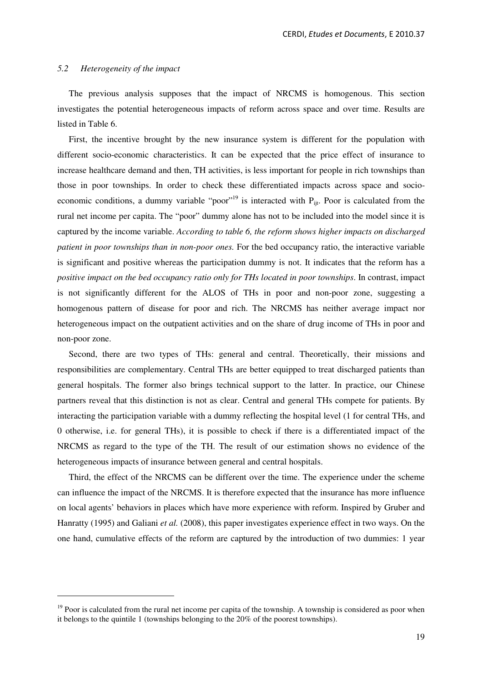#### *5.2 Heterogeneity of the impact*

 $\overline{a}$ 

The previous analysis supposes that the impact of NRCMS is homogenous. This section investigates the potential heterogeneous impacts of reform across space and over time. Results are listed in Table 6.

First, the incentive brought by the new insurance system is different for the population with different socio-economic characteristics. It can be expected that the price effect of insurance to increase healthcare demand and then, TH activities, is less important for people in rich townships than those in poor townships. In order to check these differentiated impacts across space and socioeconomic conditions, a dummy variable "poor"<sup>19</sup> is interacted with  $P_{\text{iii}}$ . Poor is calculated from the rural net income per capita. The "poor" dummy alone has not to be included into the model since it is captured by the income variable. *According to table 6, the reform shows higher impacts on discharged patient in poor townships than in non-poor ones.* For the bed occupancy ratio, the interactive variable is significant and positive whereas the participation dummy is not. It indicates that the reform has a *positive impact on the bed occupancy ratio only for THs located in poor townships*. In contrast, impact is not significantly different for the ALOS of THs in poor and non-poor zone, suggesting a homogenous pattern of disease for poor and rich. The NRCMS has neither average impact nor heterogeneous impact on the outpatient activities and on the share of drug income of THs in poor and non-poor zone.

Second, there are two types of THs: general and central. Theoretically, their missions and responsibilities are complementary. Central THs are better equipped to treat discharged patients than general hospitals. The former also brings technical support to the latter. In practice, our Chinese partners reveal that this distinction is not as clear. Central and general THs compete for patients. By interacting the participation variable with a dummy reflecting the hospital level (1 for central THs, and 0 otherwise, i.e. for general THs), it is possible to check if there is a differentiated impact of the NRCMS as regard to the type of the TH. The result of our estimation shows no evidence of the heterogeneous impacts of insurance between general and central hospitals.

Third, the effect of the NRCMS can be different over the time. The experience under the scheme can influence the impact of the NRCMS. It is therefore expected that the insurance has more influence on local agents' behaviors in places which have more experience with reform. Inspired by Gruber and Hanratty (1995) and Galiani *et al.* (2008), this paper investigates experience effect in two ways. On the one hand, cumulative effects of the reform are captured by the introduction of two dummies: 1 year

 $19$  Poor is calculated from the rural net income per capita of the township. A township is considered as poor when it belongs to the quintile 1 (townships belonging to the 20% of the poorest townships).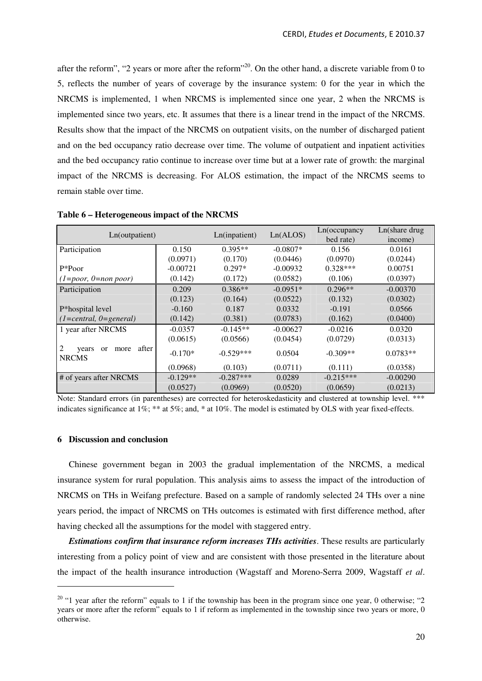after the reform", "2 years or more after the reform"<sup>20</sup>. On the other hand, a discrete variable from 0 to 5, reflects the number of years of coverage by the insurance system: 0 for the year in which the NRCMS is implemented, 1 when NRCMS is implemented since one year, 2 when the NRCMS is implemented since two years, etc. It assumes that there is a linear trend in the impact of the NRCMS. Results show that the impact of the NRCMS on outpatient visits, on the number of discharged patient and on the bed occupancy ratio decrease over time. The volume of outpatient and inpatient activities and the bed occupancy ratio continue to increase over time but at a lower rate of growth: the marginal impact of the NRCMS is decreasing. For ALOS estimation, the impact of the NRCMS seems to remain stable over time.

| Ln(outpatient)                                      | Ln(inpatient) | Ln(ALOS)    | Ln(occupancy) | Ln(share drug |            |
|-----------------------------------------------------|---------------|-------------|---------------|---------------|------------|
|                                                     |               |             |               | bed rate)     | income)    |
| Participation                                       | 0.150         | $0.395**$   | $-0.0807*$    | 0.156         | 0.0161     |
|                                                     | (0.0971)      | (0.170)     | (0.0446)      | (0.0970)      | (0.0244)   |
| $P*P00r$                                            | $-0.00721$    | $0.297*$    | $-0.00932$    | $0.328***$    | 0.00751    |
| $(1 = poor, 0 = non poor)$                          | (0.142)       | (0.172)     | (0.0582)      | (0.106)       | (0.0397)   |
| Participation                                       | 0.209         | $0.386**$   | $-0.0951*$    | $0.296**$     | $-0.00370$ |
|                                                     | (0.123)       | (0.164)     | (0.0522)      | (0.132)       | (0.0302)   |
| P*hospital level                                    | $-0.160$      | 0.187       | 0.0332        | $-0.191$      | 0.0566     |
| $(1 = central, 0 = general)$                        | (0.142)       | (0.381)     | (0.0783)      | (0.162)       | (0.0400)   |
| 1 year after NRCMS                                  | $-0.0357$     | $-0.145**$  | $-0.00627$    | $-0.0216$     | 0.0320     |
|                                                     | (0.0615)      | (0.0566)    | (0.0454)      | (0.0729)      | (0.0313)   |
| after<br>more<br>years<br><b>or</b><br><b>NRCMS</b> | $-0.170*$     | $-0.529***$ | 0.0504        | $-0.309**$    | $0.0783**$ |
|                                                     | (0.0968)      | (0.103)     | (0.0711)      | (0.111)       | (0.0358)   |
| # of years after NRCMS                              | $-0.129**$    | $-0.287***$ | 0.0289        | $-0.215***$   | $-0.00290$ |
|                                                     | (0.0527)      | (0.0969)    | (0.0520)      | (0.0659)      | (0.0213)   |

**Table 6 – Heterogeneous impact of the NRCMS** 

Note: Standard errors (in parentheses) are corrected for heteroskedasticity and clustered at township level. \*\*\* indicates significance at 1%; \*\* at 5%; and, \* at 10%. The model is estimated by OLS with year fixed-effects.

#### **6 Discussion and conclusion**

 $\overline{a}$ 

Chinese government began in 2003 the gradual implementation of the NRCMS, a medical insurance system for rural population. This analysis aims to assess the impact of the introduction of NRCMS on THs in Weifang prefecture. Based on a sample of randomly selected 24 THs over a nine years period, the impact of NRCMS on THs outcomes is estimated with first difference method, after having checked all the assumptions for the model with staggered entry.

*Estimations confirm that insurance reform increases THs activities*. These results are particularly interesting from a policy point of view and are consistent with those presented in the literature about the impact of the health insurance introduction (Wagstaff and Moreno-Serra 2009, Wagstaff *et al*.

 $20$  "1 year after the reform" equals to 1 if the township has been in the program since one year, 0 otherwise; "2 years or more after the reform" equals to 1 if reform as implemented in the township since two years or more, 0 otherwise.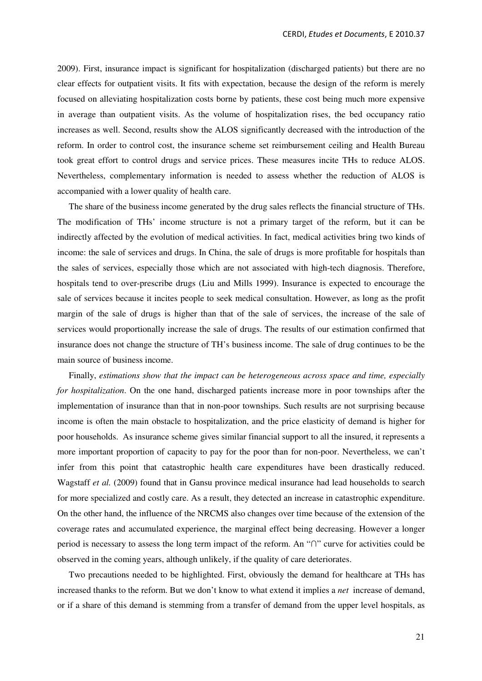2009). First, insurance impact is significant for hospitalization (discharged patients) but there are no clear effects for outpatient visits. It fits with expectation, because the design of the reform is merely focused on alleviating hospitalization costs borne by patients, these cost being much more expensive in average than outpatient visits. As the volume of hospitalization rises, the bed occupancy ratio increases as well. Second, results show the ALOS significantly decreased with the introduction of the reform. In order to control cost, the insurance scheme set reimbursement ceiling and Health Bureau took great effort to control drugs and service prices. These measures incite THs to reduce ALOS. Nevertheless, complementary information is needed to assess whether the reduction of ALOS is accompanied with a lower quality of health care.

The share of the business income generated by the drug sales reflects the financial structure of THs. The modification of THs' income structure is not a primary target of the reform, but it can be indirectly affected by the evolution of medical activities. In fact, medical activities bring two kinds of income: the sale of services and drugs. In China, the sale of drugs is more profitable for hospitals than the sales of services, especially those which are not associated with high-tech diagnosis. Therefore, hospitals tend to over-prescribe drugs (Liu and Mills 1999). Insurance is expected to encourage the sale of services because it incites people to seek medical consultation. However, as long as the profit margin of the sale of drugs is higher than that of the sale of services, the increase of the sale of services would proportionally increase the sale of drugs. The results of our estimation confirmed that insurance does not change the structure of TH's business income. The sale of drug continues to be the main source of business income.

Finally, *estimations show that the impact can be heterogeneous across space and time, especially for hospitalization*. On the one hand, discharged patients increase more in poor townships after the implementation of insurance than that in non-poor townships. Such results are not surprising because income is often the main obstacle to hospitalization, and the price elasticity of demand is higher for poor households. As insurance scheme gives similar financial support to all the insured, it represents a more important proportion of capacity to pay for the poor than for non-poor. Nevertheless, we can't infer from this point that catastrophic health care expenditures have been drastically reduced. Wagstaff *et al.* (2009) found that in Gansu province medical insurance had lead households to search for more specialized and costly care. As a result, they detected an increase in catastrophic expenditure. On the other hand, the influence of the NRCMS also changes over time because of the extension of the coverage rates and accumulated experience, the marginal effect being decreasing. However a longer period is necessary to assess the long term impact of the reform. An "∩" curve for activities could be observed in the coming years, although unlikely, if the quality of care deteriorates.

Two precautions needed to be highlighted. First, obviously the demand for healthcare at THs has increased thanks to the reform. But we don't know to what extend it implies a *net* increase of demand, or if a share of this demand is stemming from a transfer of demand from the upper level hospitals, as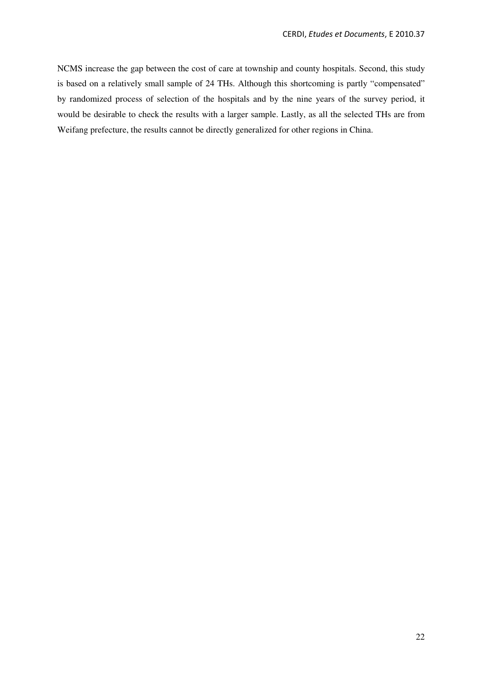NCMS increase the gap between the cost of care at township and county hospitals. Second, this study is based on a relatively small sample of 24 THs. Although this shortcoming is partly "compensated" by randomized process of selection of the hospitals and by the nine years of the survey period, it would be desirable to check the results with a larger sample. Lastly, as all the selected THs are from Weifang prefecture, the results cannot be directly generalized for other regions in China.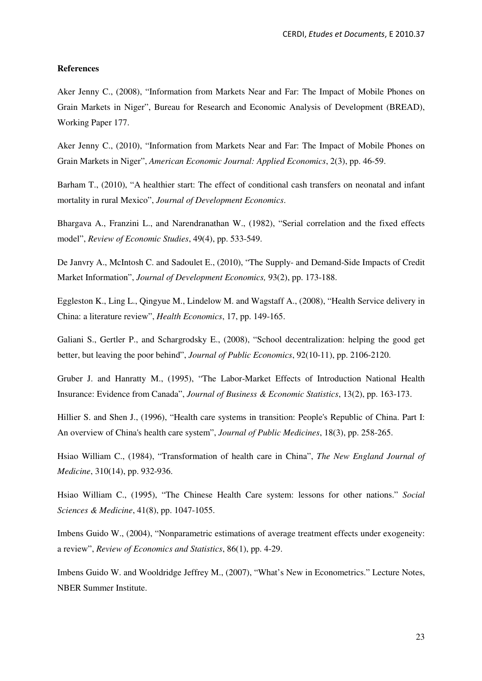#### **References**

Aker Jenny C., (2008), "Information from Markets Near and Far: The Impact of Mobile Phones on Grain Markets in Niger", Bureau for Research and Economic Analysis of Development (BREAD), Working Paper 177.

Aker Jenny C., (2010), "Information from Markets Near and Far: The Impact of Mobile Phones on Grain Markets in Niger", *American Economic Journal: Applied Economics*, 2(3), pp. 46-59.

Barham T., (2010), "A healthier start: The effect of conditional cash transfers on neonatal and infant mortality in rural Mexico", *Journal of Development Economics*.

Bhargava A., Franzini L., and Narendranathan W., (1982), "Serial correlation and the fixed effects model", *Review of Economic Studies*, 49(4), pp. 533-549.

De Janvry A., McIntosh C. and Sadoulet E., (2010), "The Supply- and Demand-Side Impacts of Credit Market Information", *Journal of Development Economics,* 93(2), pp. 173-188.

Eggleston K., Ling L., Qingyue M., Lindelow M. and Wagstaff A., (2008), "Health Service delivery in China: a literature review", *Health Economics*, 17, pp. 149-165.

Galiani S., Gertler P., and Schargrodsky E., (2008), "School decentralization: helping the good get better, but leaving the poor behind", *Journal of Public Economics*, 92(10-11), pp. 2106-2120.

Gruber J. and Hanratty M., (1995), "The Labor-Market Effects of Introduction National Health Insurance: Evidence from Canada", *Journal of Business & Economic Statistics*, 13(2), pp. 163-173.

Hillier S. and Shen J., (1996), "Health care systems in transition: People's Republic of China. Part I: An overview of China's health care system", *Journal of Public Medicines*, 18(3), pp. 258-265.

Hsiao William C., (1984), "Transformation of health care in China", *The New England Journal of Medicine*, 310(14), pp. 932-936.

Hsiao William C., (1995), "The Chinese Health Care system: lessons for other nations." *Social Sciences & Medicine*, 41(8), pp. 1047-1055.

Imbens Guido W., (2004), "Nonparametric estimations of average treatment effects under exogeneity: a review", *Review of Economics and Statistics*, 86(1), pp. 4-29.

Imbens Guido W. and Wooldridge Jeffrey M., (2007), "What's New in Econometrics." Lecture Notes, NBER Summer Institute.